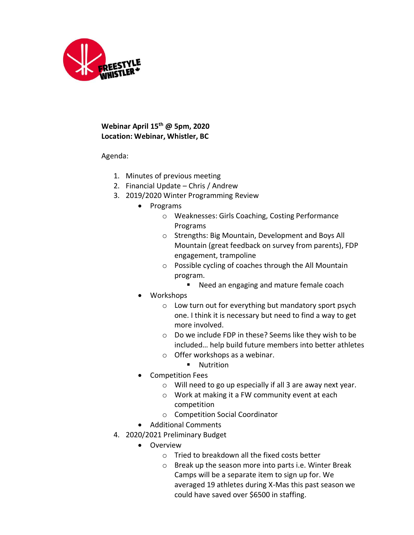

## **Webinar April 15th @ 5pm, 2020 Location: Webinar, Whistler, BC**

Agenda:

- 1. Minutes of previous meeting
- 2. Financial Update Chris / Andrew
- 3. 2019/2020 Winter Programming Review
	- Programs
		- o Weaknesses: Girls Coaching, Costing Performance Programs
		- o Strengths: Big Mountain, Development and Boys All Mountain (great feedback on survey from parents), FDP engagement, trampoline
		- o Possible cycling of coaches through the All Mountain program.
			- Need an engaging and mature female coach
	- Workshops
		- o Low turn out for everything but mandatory sport psych one. I think it is necessary but need to find a way to get more involved.
		- o Do we include FDP in these? Seems like they wish to be included… help build future members into better athletes
		- o Offer workshops as a webinar.
			- Nutrition
	- Competition Fees
		- o Will need to go up especially if all 3 are away next year.
		- o Work at making it a FW community event at each competition
		- o Competition Social Coordinator
	- Additional Comments
- 4. 2020/2021 Preliminary Budget
	- Overview
		- o Tried to breakdown all the fixed costs better
		- o Break up the season more into parts i.e. Winter Break Camps will be a separate item to sign up for. We averaged 19 athletes during X-Mas this past season we could have saved over \$6500 in staffing.